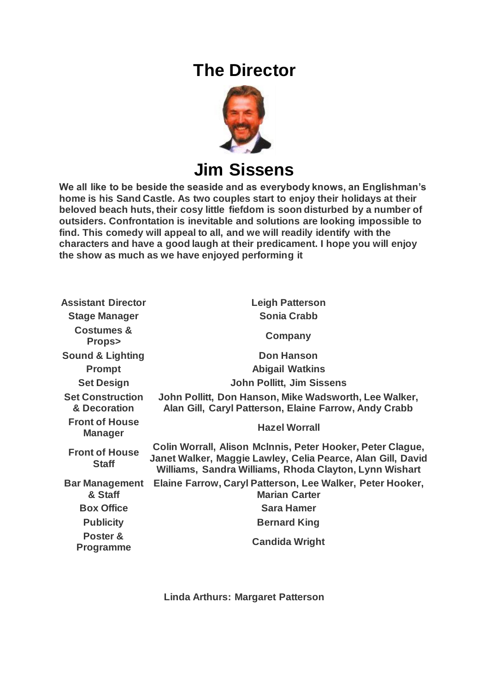## **The Director**



**Jim Sissens**

**We all like to be beside the seaside and as everybody knows, an Englishman's home is his Sand Castle. As two couples start to enjoy their holidays at their beloved beach huts, their cosy little fiefdom is soon disturbed by a number of outsiders. Confrontation is inevitable and solutions are looking impossible to find. This comedy will appeal to all, and we will readily identify with the characters and have a good laugh at their predicament. I hope you will enjoy the show as much as we have enjoyed performing it**

| <b>Assistant Director</b>                 | <b>Leigh Patterson</b>                                                                                                                                                              |
|-------------------------------------------|-------------------------------------------------------------------------------------------------------------------------------------------------------------------------------------|
| <b>Stage Manager</b>                      | <b>Sonia Crabb</b>                                                                                                                                                                  |
| <b>Costumes &amp;</b><br><b>Props&gt;</b> | Company                                                                                                                                                                             |
| <b>Sound &amp; Lighting</b>               | <b>Don Hanson</b>                                                                                                                                                                   |
| <b>Prompt</b>                             | <b>Abigail Watkins</b>                                                                                                                                                              |
| <b>Set Design</b>                         | <b>John Pollitt, Jim Sissens</b>                                                                                                                                                    |
| <b>Set Construction</b><br>& Decoration   | John Pollitt, Don Hanson, Mike Wadsworth, Lee Walker,<br>Alan Gill, Caryl Patterson, Elaine Farrow, Andy Crabb                                                                      |
| <b>Front of House</b><br><b>Manager</b>   | <b>Hazel Worrall</b>                                                                                                                                                                |
| <b>Front of House</b><br><b>Staff</b>     | Colin Worrall, Alison McInnis, Peter Hooker, Peter Clague,<br>Janet Walker, Maggie Lawley, Celia Pearce, Alan Gill, David<br>Williams, Sandra Williams, Rhoda Clayton, Lynn Wishart |
| <b>Bar Management</b><br>& Staff          | Elaine Farrow, Caryl Patterson, Lee Walker, Peter Hooker,<br><b>Marian Carter</b>                                                                                                   |
| <b>Box Office</b>                         | <b>Sara Hamer</b>                                                                                                                                                                   |
| <b>Publicity</b>                          | <b>Bernard King</b>                                                                                                                                                                 |
| Poster &<br><b>Programme</b>              | <b>Candida Wright</b>                                                                                                                                                               |

**Linda Arthurs: Margaret Patterson**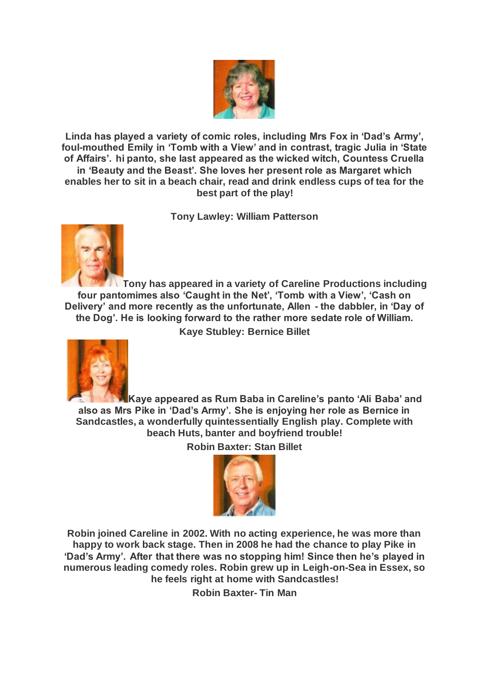

**Linda has played a variety of comic roles, including Mrs Fox in 'Dad's Army', foul-mouthed Emily in 'Tomb with a View' and in contrast, tragic Julia in 'State of Affairs'. hi panto, she last appeared as the wicked witch, Countess Cruella in 'Beauty and the Beast'. She loves her present role as Margaret which enables her to sit in a beach chair, read and drink endless cups of tea for the best part of the play!**

**Tony Lawley: William Patterson**



**Tony has appeared in a variety of Careline Productions including four pantomimes also 'Caught in the Net', 'Tomb with a View', 'Cash on Delivery' and more recently as the unfortunate, Allen - the dabbler, in 'Day of the Dog'. He is looking forward to the rather more sedate role of William.**

**Kaye Stubley: Bernice Billet**



**Kaye appeared as Rum Baba in Careline's panto 'Ali Baba' and also as Mrs Pike in 'Dad's Army'. She is enjoying her role as Bernice in Sandcastles, a wonderfully quintessentially English play. Complete with beach Huts, banter and boyfriend trouble!**

**Robin Baxter: Stan Billet**



**Robin joined Careline in 2002. With no acting experience, he was more than happy to work back stage. Then in 2008 he had the chance to play Pike in 'Dad's Army'. After that there was no stopping him! Since then he's played in numerous leading comedy roles. Robin grew up in Leigh-on-Sea in Essex, so he feels right at home with Sandcastles!**

**Robin Baxter- Tin Man**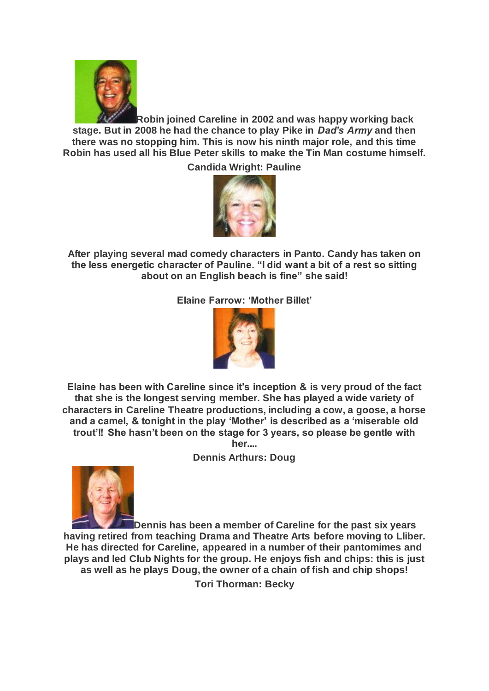

**Robin joined Careline in 2002 and was happy working back stage. But in 2008 he had the chance to play Pike in** *Dad's Army* **and then there was no stopping him. This is now his ninth major role, and this time Robin has used all his Blue Peter skills to make the Tin Man costume himself.**

**Candida Wright: Pauline**



**After playing several mad comedy characters in Panto. Candy has taken on the less energetic character of Pauline. "I did want a bit of a rest so sitting about on an English beach is fine" she said!**

**Elaine Farrow: 'Mother Billet'**



**Elaine has been with Careline since it's inception & is very proud of the fact that she is the longest serving member. She has played a wide variety of characters in Careline Theatre productions, including a cow, a goose, a horse and a camel, & tonight in the play 'Mother' is described as a 'miserable old trout'!! She hasn't been on the stage for 3 years, so please be gentle with her....**

**Dennis Arthurs: Doug**



**Dennis has been a member of Careline for the past six years having retired from teaching Drama and Theatre Arts before moving to Lliber. He has directed for Careline, appeared in a number of their pantomimes and plays and led Club Nights for the group. He enjoys fish and chips: this is just as well as he plays Doug, the owner of a chain of fish and chip shops!**

**Tori Thorman: Becky**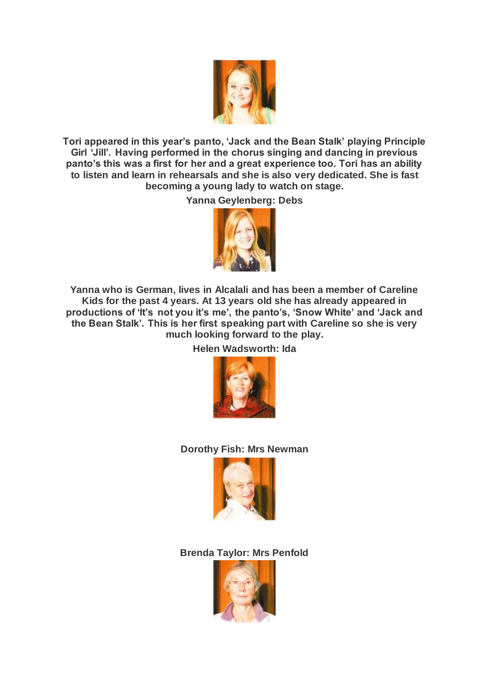

**Tori appeared in this year's panto, 'Jack and the Bean Stalk' playing Principle Girl 'Jill'. Having performed in the chorus singing and dancing in previous panto's this was a first for her and a great experience too. Tori has an ability to listen and learn in rehearsals and she is also very dedicated. She is fast becoming a young lady to watch on stage.**

**Yanna Geylenberg: Debs**



**Yanna who is German, lives in Alcalali and has been a member of Careline Kids for the past 4 years. At 13 years old she has already appeared in productions of 'It's not you it's me', the panto's, 'Snow White' and 'Jack and the Bean Stalk'. This is her first speaking part with Careline so she is very much looking forward to the play.**

**Helen Wadsworth: Ida**



## **Dorothy Fish: Mrs Newman**



**Brenda Taylor: Mrs Penfold**